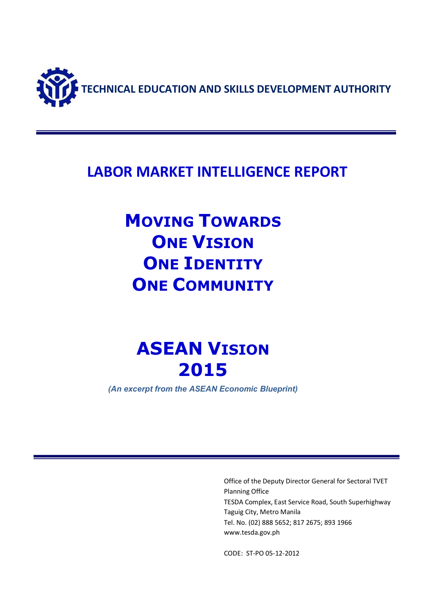

### **LABOR MARKET INTELLIGENCE REPORT**

## **MOVING TOWARDS ONE VISION ONE IDENTITY ONE COMMUNITY**

# **ASEAN VISION 2015**

*(An excerpt from the ASEAN Economic Blueprint)*

Office of the Deputy Director General for Sectoral TVET Planning Office TESDA Complex, East Service Road, South Superhighway Taguig City, Metro Manila Tel. No. (02) 888 5652; 817 2675; 893 1966 www.tesda.gov.ph

CODE: ST-PO 05-12-2012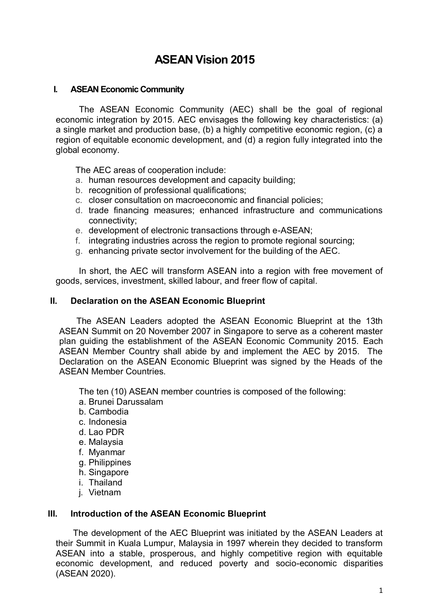### **ASEAN Vision 2015**

#### **I. ASEAN Economic Community**

 The ASEAN Economic Community (AEC) shall be the goal of regional economic integration by 2015. AEC envisages the following key characteristics: (a) a single market and production base, (b) a highly competitive economic region, (c) a region of equitable economic development, and (d) a region fully integrated into the global economy.

The AEC areas of cooperation include:

- a. human resources development and capacity building;
- b. recognition of professional qualifications;
- c. closer consultation on macroeconomic and financial policies;
- d. trade financing measures; enhanced infrastructure and communications connectivity;
- e. development of electronic transactions through e-ASEAN;
- f. integrating industries across the region to promote regional sourcing;
- g. enhancing private sector involvement for the building of the AEC.

In short, the AEC will transform ASEAN into a region with free movement of goods, services, investment, skilled labour, and freer flow of capital.

#### **II. Declaration on the ASEAN Economic Blueprint**

 The ASEAN Leaders adopted the ASEAN Economic Blueprint at the 13th ASEAN Summit on 20 November 2007 in Singapore to serve as a coherent master plan guiding the establishment of the ASEAN Economic Community 2015. Each ASEAN Member Country shall abide by and implement the AEC by 2015. The Declaration on the ASEAN Economic Blueprint was signed by the Heads of the ASEAN Member Countries.

The ten (10) ASEAN member countries is composed of the following:

- a. Brunei Darussalam
- b. Cambodia
- c. Indonesia
- d. Lao PDR
- e. Malaysia
- f. Myanmar
- g. Philippines
- h. Singapore
- i. Thailand
- j. Vietnam

#### **III. Introduction of the ASEAN Economic Blueprint**

The development of the AEC Blueprint was initiated by the ASEAN Leaders at their Summit in Kuala Lumpur, Malaysia in 1997 wherein they decided to transform ASEAN into a stable, prosperous, and highly competitive region with equitable economic development, and reduced poverty and socio-economic disparities (ASEAN 2020).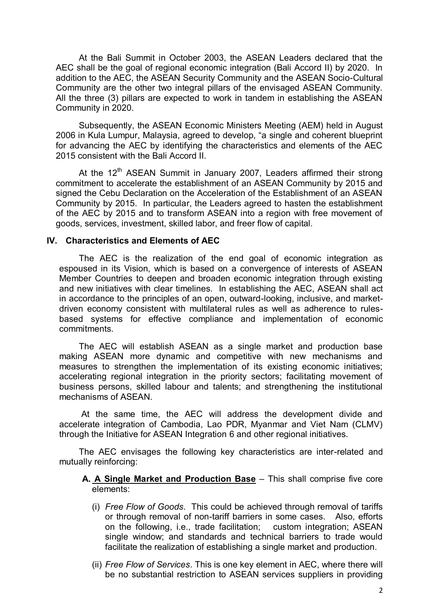At the Bali Summit in October 2003, the ASEAN Leaders declared that the AEC shall be the goal of regional economic integration (Bali Accord II) by 2020. In addition to the AEC, the ASEAN Security Community and the ASEAN Socio-Cultural Community are the other two integral pillars of the envisaged ASEAN Community. All the three (3) pillars are expected to work in tandem in establishing the ASEAN Community in 2020.

Subsequently, the ASEAN Economic Ministers Meeting (AEM) held in August 2006 in Kula Lumpur, Malaysia, agreed to develop, "a single and coherent blueprint for advancing the AEC by identifying the characteristics and elements of the AEC 2015 consistent with the Bali Accord II.

At the 12<sup>th</sup> ASEAN Summit in January 2007, Leaders affirmed their strong commitment to accelerate the establishment of an ASEAN Community by 2015 and signed the Cebu Declaration on the Acceleration of the Establishment of an ASEAN Community by 2015. In particular, the Leaders agreed to hasten the establishment of the AEC by 2015 and to transform ASEAN into a region with free movement of goods, services, investment, skilled labor, and freer flow of capital.

#### **IV. Characteristics and Elements of AEC**

The AEC is the realization of the end goal of economic integration as espoused in its Vision, which is based on a convergence of interests of ASEAN Member Countries to deepen and broaden economic integration through existing and new initiatives with clear timelines. In establishing the AEC, ASEAN shall act in accordance to the principles of an open, outward-looking, inclusive, and marketdriven economy consistent with multilateral rules as well as adherence to rulesbased systems for effective compliance and implementation of economic commitments.

The AEC will establish ASEAN as a single market and production base making ASEAN more dynamic and competitive with new mechanisms and measures to strengthen the implementation of its existing economic initiatives; accelerating regional integration in the priority sectors; facilitating movement of business persons, skilled labour and talents; and strengthening the institutional mechanisms of ASEAN.

At the same time, the AEC will address the development divide and accelerate integration of Cambodia, Lao PDR, Myanmar and Viet Nam (CLMV) through the Initiative for ASEAN Integration 6 and other regional initiatives.

The AEC envisages the following key characteristics are inter-related and mutually reinforcing:

#### **A. A Single Market and Production Base** – This shall comprise five core elements:

- (i) *Free Flow of Goods*. This could be achieved through removal of tariffs or through removal of non-tariff barriers in some cases. Also, efforts on the following, i.e., trade facilitation; custom integration; ASEAN single window; and standards and technical barriers to trade would facilitate the realization of establishing a single market and production.
- (ii) *Free Flow of Services*. This is one key element in AEC, where there will be no substantial restriction to ASEAN services suppliers in providing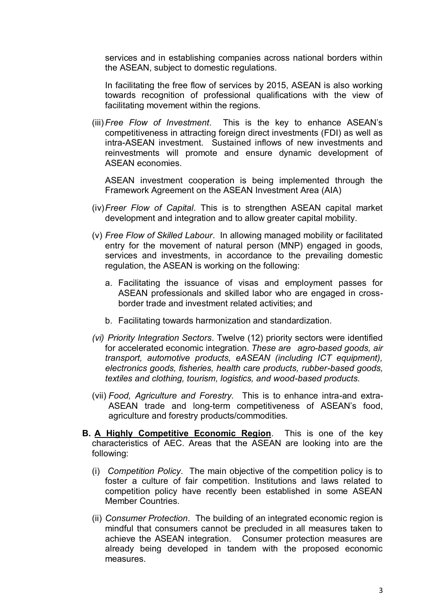services and in establishing companies across national borders within the ASEAN, subject to domestic regulations.

In facilitating the free flow of services by 2015, ASEAN is also working towards recognition of professional qualifications with the view of facilitating movement within the regions.

(iii)*Free Flow of Investment*. This is the key to enhance ASEAN's competitiveness in attracting foreign direct investments (FDI) as well as intra-ASEAN investment. Sustained inflows of new investments and reinvestments will promote and ensure dynamic development of ASEAN economies.

ASEAN investment cooperation is being implemented through the Framework Agreement on the ASEAN Investment Area (AIA)

- (iv)*Freer Flow of Capital*. This is to strengthen ASEAN capital market development and integration and to allow greater capital mobility.
- (v) *Free Flow of Skilled Labour*. In allowing managed mobility or facilitated entry for the movement of natural person (MNP) engaged in goods, services and investments, in accordance to the prevailing domestic regulation, the ASEAN is working on the following:
	- a. Facilitating the issuance of visas and employment passes for ASEAN professionals and skilled labor who are engaged in crossborder trade and investment related activities; and
	- b. Facilitating towards harmonization and standardization.
- *(vi) Priority Integration Sectors*. Twelve (12) priority sectors were identified for accelerated economic integration. *These are agro-based goods, air transport, automotive products, eASEAN (including ICT equipment), electronics goods, fisheries, health care products, rubber-based goods, textiles and clothing, tourism, logistics, and wood-based products.*
- (vii) *Food, Agriculture and Forestry.* This is to enhance intra-and extra-ASEAN trade and long-term competitiveness of ASEAN's food, agriculture and forestry products/commodities.
- **B. A Highly Competitive Economic Region**. This is one of the key characteristics of AEC. Areas that the ASEAN are looking into are the following:
	- (i) *Competition Policy*. The main objective of the competition policy is to foster a culture of fair competition. Institutions and laws related to competition policy have recently been established in some ASEAN Member Countries.
	- (ii) *Consumer Protection*. The building of an integrated economic region is mindful that consumers cannot be precluded in all measures taken to achieve the ASEAN integration. Consumer protection measures are already being developed in tandem with the proposed economic measures.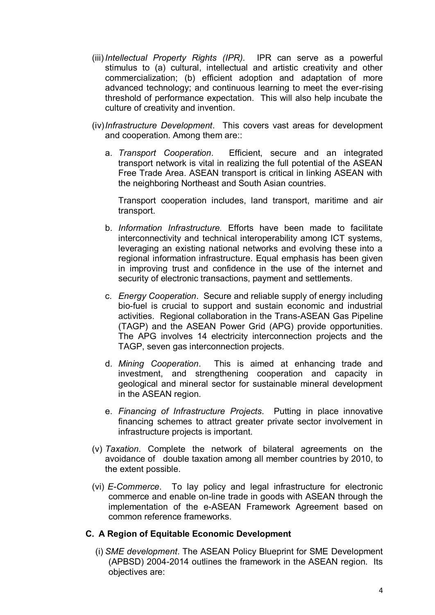- (iii)*Intellectual Property Rights (IPR).* IPR can serve as a powerful stimulus to (a) cultural, intellectual and artistic creativity and other commercialization; (b) efficient adoption and adaptation of more advanced technology; and continuous learning to meet the ever-rising threshold of performance expectation. This will also help incubate the culture of creativity and invention.
- (iv)*Infrastructure Development*. This covers vast areas for development and cooperation. Among them are::
	- a. *Transport Cooperation*. Efficient, secure and an integrated transport network is vital in realizing the full potential of the ASEAN Free Trade Area. ASEAN transport is critical in linking ASEAN with the neighboring Northeast and South Asian countries.

Transport cooperation includes, land transport, maritime and air transport.

- b. *Information Infrastructure.* Efforts have been made to facilitate interconnectivity and technical interoperability among ICT systems, leveraging an existing national networks and evolving these into a regional information infrastructure. Equal emphasis has been given in improving trust and confidence in the use of the internet and security of electronic transactions, payment and settlements.
- c. *Energy Cooperation*. Secure and reliable supply of energy including bio-fuel is crucial to support and sustain economic and industrial activities. Regional collaboration in the Trans-ASEAN Gas Pipeline (TAGP) and the ASEAN Power Grid (APG) provide opportunities. The APG involves 14 electricity interconnection projects and the TAGP, seven gas interconnection projects.
- d. *Mining Cooperation*. This is aimed at enhancing trade and investment, and strengthening cooperation and capacity in geological and mineral sector for sustainable mineral development in the ASEAN region.
- e. *Financing of Infrastructure Projects*. Putting in place innovative financing schemes to attract greater private sector involvement in infrastructure projects is important.
- (v) *Taxation*. Complete the network of bilateral agreements on the avoidance of double taxation among all member countries by 2010, to the extent possible.
- (vi) *E-Commerce*. To lay policy and legal infrastructure for electronic commerce and enable on-line trade in goods with ASEAN through the implementation of the e-ASEAN Framework Agreement based on common reference frameworks.

#### **C. A Region of Equitable Economic Development**

(i) *SME development*. The ASEAN Policy Blueprint for SME Development (APBSD) 2004-2014 outlines the framework in the ASEAN region. Its objectives are: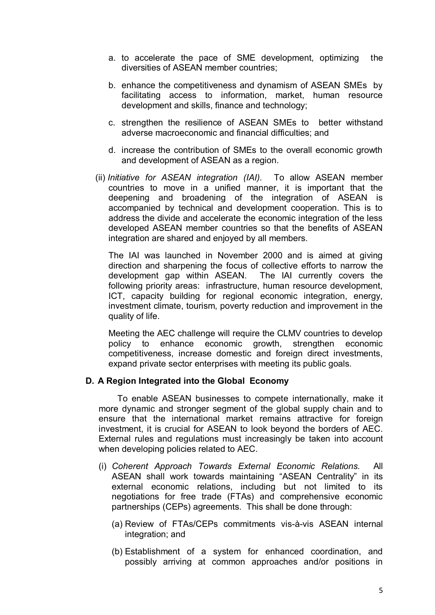- a. to accelerate the pace of SME development, optimizing the diversities of ASEAN member countries;
- b. enhance the competitiveness and dynamism of ASEAN SMEs by facilitating access to information, market, human resource development and skills, finance and technology;
- c. strengthen the resilience of ASEAN SMEs to better withstand adverse macroeconomic and financial difficulties; and
- d. increase the contribution of SMEs to the overall economic growth and development of ASEAN as a region.
- (ii) *Initiative for ASEAN integration (IAI).* To allow ASEAN member countries to move in a unified manner, it is important that the deepening and broadening of the integration of ASEAN is accompanied by technical and development cooperation. This is to address the divide and accelerate the economic integration of the less developed ASEAN member countries so that the benefits of ASEAN integration are shared and enjoyed by all members.

The IAI was launched in November 2000 and is aimed at giving direction and sharpening the focus of collective efforts to narrow the development gap within ASEAN. The IAI currently covers the following priority areas: infrastructure, human resource development, ICT, capacity building for regional economic integration, energy, investment climate, tourism, poverty reduction and improvement in the quality of life.

Meeting the AEC challenge will require the CLMV countries to develop policy to enhance economic growth, strengthen economic competitiveness, increase domestic and foreign direct investments, expand private sector enterprises with meeting its public goals.

#### **D. A Region Integrated into the Global Economy**

 To enable ASEAN businesses to compete internationally, make it more dynamic and stronger segment of the global supply chain and to ensure that the international market remains attractive for foreign investment, it is crucial for ASEAN to look beyond the borders of AEC. External rules and regulations must increasingly be taken into account when developing policies related to AEC.

- (i) *Coherent Approach Towards External Economic Relations.* All ASEAN shall work towards maintaining "ASEAN Centrality" in its external economic relations, including but not limited to its negotiations for free trade (FTAs) and comprehensive economic partnerships (CEPs) agreements. This shall be done through:
	- (a) Review of FTAs/CEPs commitments vis-à-vis ASEAN internal integration; and
	- (b) Establishment of a system for enhanced coordination, and possibly arriving at common approaches and/or positions in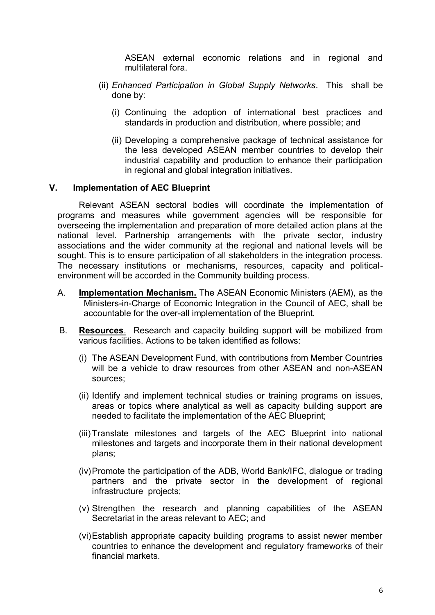ASEAN external economic relations and in regional and multilateral fora.

- (ii) *Enhanced Participation in Global Supply Networks*. This shall be done by:
	- (i) Continuing the adoption of international best practices and standards in production and distribution, where possible; and
	- (ii) Developing a comprehensive package of technical assistance for the less developed ASEAN member countries to develop their industrial capability and production to enhance their participation in regional and global integration initiatives.

#### **V. Implementation of AEC Blueprint**

Relevant ASEAN sectoral bodies will coordinate the implementation of programs and measures while government agencies will be responsible for overseeing the implementation and preparation of more detailed action plans at the national level. Partnership arrangements with the private sector, industry associations and the wider community at the regional and national levels will be sought. This is to ensure participation of all stakeholders in the integration process. The necessary institutions or mechanisms, resources, capacity and politicalenvironment will be accorded in the Community building process.

- A. **Implementation Mechanism.** The ASEAN Economic Ministers (AEM), as the Ministers-in-Charge of Economic Integration in the Council of AEC, shall be accountable for the over-all implementation of the Blueprint.
- B. **Resources**. Research and capacity building support will be mobilized from various facilities. Actions to be taken identified as follows:
	- (i) The ASEAN Development Fund, with contributions from Member Countries will be a vehicle to draw resources from other ASEAN and non-ASEAN sources;
	- (ii) Identify and implement technical studies or training programs on issues, areas or topics where analytical as well as capacity building support are needed to facilitate the implementation of the AEC Blueprint;
	- (iii)Translate milestones and targets of the AEC Blueprint into national milestones and targets and incorporate them in their national development plans;
	- (iv)Promote the participation of the ADB, World Bank/IFC, dialogue or trading partners and the private sector in the development of regional infrastructure projects;
	- (v) Strengthen the research and planning capabilities of the ASEAN Secretariat in the areas relevant to AEC; and
	- (vi)Establish appropriate capacity building programs to assist newer member countries to enhance the development and regulatory frameworks of their financial markets.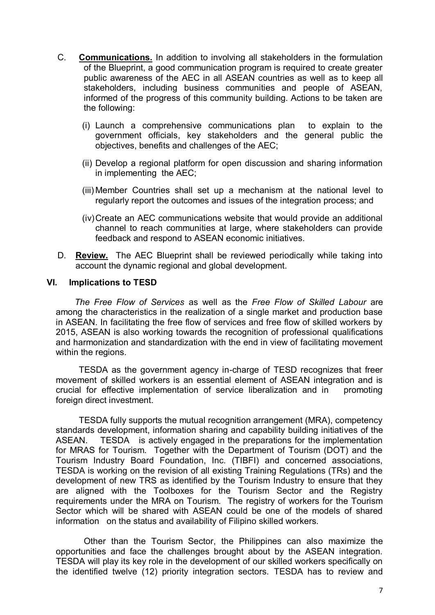- C. **Communications.** In addition to involving all stakeholders in the formulation of the Blueprint, a good communication program is required to create greater public awareness of the AEC in all ASEAN countries as well as to keep all stakeholders, including business communities and people of ASEAN, informed of the progress of this community building. Actions to be taken are the following:
	- (i) Launch a comprehensive communications plan to explain to the government officials, key stakeholders and the general public the objectives, benefits and challenges of the AEC;
	- (ii) Develop a regional platform for open discussion and sharing information in implementing the AEC;
	- (iii) Member Countries shall set up a mechanism at the national level to regularly report the outcomes and issues of the integration process; and
	- (iv)Create an AEC communications website that would provide an additional channel to reach communities at large, where stakeholders can provide feedback and respond to ASEAN economic initiatives.
- D. **Review.** The AEC Blueprint shall be reviewed periodically while taking into account the dynamic regional and global development.

#### **VI. Implications to TESD**

*The Free Flow of Services* as well as the *Free Flow of Skilled Labour* are among the characteristics in the realization of a single market and production base in ASEAN. In facilitating the free flow of services and free flow of skilled workers by 2015, ASEAN is also working towards the recognition of professional qualifications and harmonization and standardization with the end in view of facilitating movement within the regions.

TESDA as the government agency in-charge of TESD recognizes that freer movement of skilled workers is an essential element of ASEAN integration and is crucial for effective implementation of service liberalization and in promoting foreign direct investment.

TESDA fully supports the mutual recognition arrangement (MRA), competency standards development, information sharing and capability building initiatives of the ASEAN. TESDA is actively engaged in the preparations for the implementation for MRAS for Tourism. Together with the Department of Tourism (DOT) and the Tourism Industry Board Foundation, Inc. (TIBFI) and concerned associations, TESDA is working on the revision of all existing Training Regulations (TRs) and the development of new TRS as identified by the Tourism Industry to ensure that they are aligned with the Toolboxes for the Tourism Sector and the Registry requirements under the MRA on Tourism. The registry of workers for the Tourism Sector which will be shared with ASEAN could be one of the models of shared information on the status and availability of Filipino skilled workers.

 Other than the Tourism Sector, the Philippines can also maximize the opportunities and face the challenges brought about by the ASEAN integration. TESDA will play its key role in the development of our skilled workers specifically on the identified twelve (12) priority integration sectors. TESDA has to review and